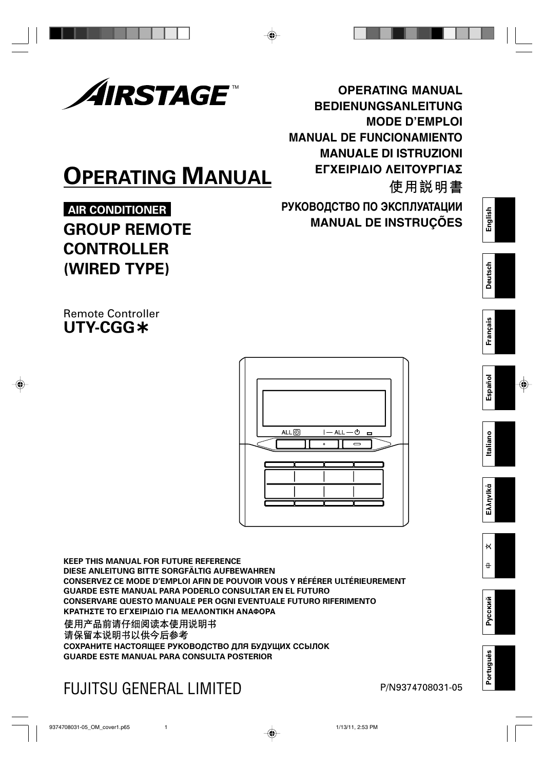

# **OPERATING MANUAL**

# **AIR CONDITIONER GROUP REMOTE CONTROLLER (WIRED TYPE)**

**OPERATING MANUAL BEDIENUNGSANLEITUNG MODE D'EMPLOI MANUAL DE FUNCIONAMIENTO MANUALE DI ISTRUZIONI** ΕΓΧΕΙΡΙΔΙΟ ΛΕΙΤΟΥΡΓΙΑΣ 使用説明書 **РУКОВОДСТВО ПО ЭКСПЛУАТАЦИИ**

**MANUAL DE INSTRUÇÕES**

**English**

**Deutsch**

**Français**

**Español**

**Italiano**

**EλληvIkά**

 $\overline{\mathsf{K}}$ 

 $\ddot{+}$ 

**Русский**

**Português**

Português

Remote Controller **UTY-CGG**



**KEEP THIS MANUAL FOR FUTURE REFERENCE DIESE ANLEITUNG BITTE SORGFÄLTIG AUFBEWAHREN CONSERVEZ CE MODE D'EMPLOI AFIN DE POUVOIR VOUS Y RÉFÉRER ULTÉRIEUREMENT GUARDE ESTE MANUAL PARA PODERLO CONSULTAR EN EL FUTURO CONSERVARE QUESTO MANUALE PER OGNI EVENTUALE FUTURO RIFERIMENTO** ΚΡΑΤΗΣΤΕ ΤΟ ΕΓΧΕΙΡΙΔΙΟ ΓΙΑ ΜΕΛΛΟΝΤΙΚΗ ΑΝΑΦΟΡΑ 使用产品前请仔细阅读本使用说明书 请保留本说明书以供今后参考 **СОХРАНИТЕ НАСТОЯЩЕЕ РУКОВОДСТВО ДЛЯ БУДУЩИХ ССЫЛОК GUARDE ESTE MANUAL PARA CONSULTA POSTERIOR**

# FUJITSU GENERAL LIMITED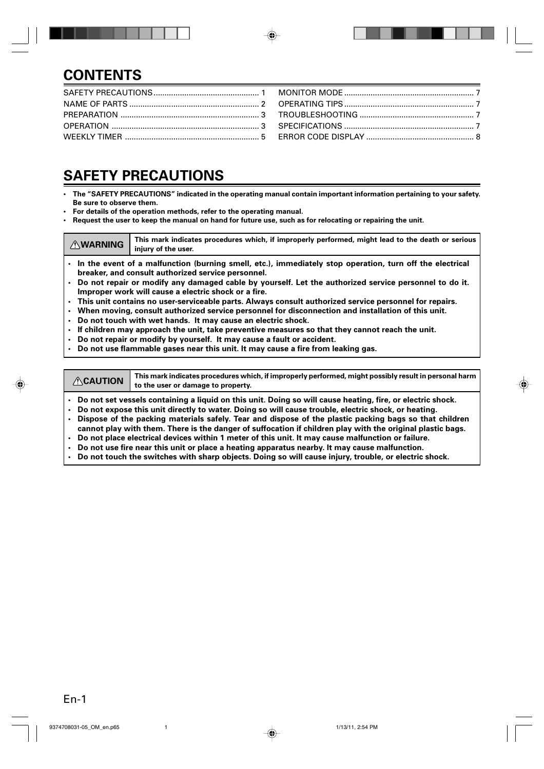## **CONTENTS**

### **SAFETY PRECAUTIONS**

- **The "SAFETY PRECAUTIONS" indicated in the operating manual contain important information pertaining to your safety. Be sure to observe them.**
- **For details of the operation methods, refer to the operating manual.**
- **Request the user to keep the manual on hand for future use, such as for relocating or repairing the unit.**

**AWARNING** This mark indicates procedures which, if improperly performed, might lead to the death or serious **injury of the user.**

- **• In the event of a malfunction (burning smell, etc.), immediately stop operation, turn off the electrical breaker, and consult authorized service personnel.**
- **• Do not repair or modify any damaged cable by yourself. Let the authorized service personnel to do it. Improper work will cause a electric shock or a fire.**
- **• This unit contains no user-serviceable parts. Always consult authorized service personnel for repairs.**
- **• When moving, consult authorized service personnel for disconnection and installation of this unit.**
- **• Do not touch with wet hands. It may cause an electric shock.**
- **• If children may approach the unit, take preventive measures so that they cannot reach the unit.**
- **• Do not repair or modify by yourself. It may cause a fault or accident.**
- **• Do not use flammable gases near this unit. It may cause a fire from leaking gas.**

**CAUTION** This mark indicates procedures which, if improperly performed, might possibly result in personal harm **to the user or damage to property.**

- **• Do not set vessels containing a liquid on this unit. Doing so will cause heating, fire, or electric shock.**
- **• Do not expose this unit directly to water. Doing so will cause trouble, electric shock, or heating.**
- **• Dispose of the packing materials safely. Tear and dispose of the plastic packing bags so that children cannot play with them. There is the danger of suffocation if children play with the original plastic bags.**
- **• Do not place electrical devices within 1 meter of this unit. It may cause malfunction or failure.**
- **• Do not use fire near this unit or place a heating apparatus nearby. It may cause malfunction.**
- **• Do not touch the switches with sharp objects. Doing so will cause injury, trouble, or electric shock.**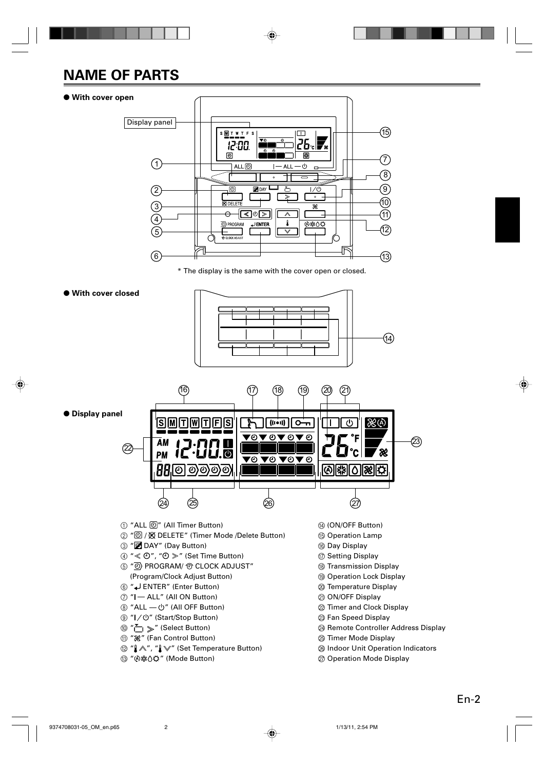# **NAME OF PARTS**

#### ● **With cover open**



\* The display is the same with the cover open or closed.

#### ● **With cover closed**



● **Display panel**



- (1) "ALL  $[①"$  (All Timer Button)
- ② "3 / [N] DELETE" (Timer Mode /Delete Button)
- 3 " DAY" (Day Button)
- (4)  $\mathscr{A} \ll \Theta$ ",  $\mathscr{A} \Theta \gg$ " (Set Time Button)
- $\circledS$  "  $\overline{\circledS}$  PROGRAM/  $\circledcirc$  CLOCK ADJUST" (Program/Clock Adjust Button)
- 6 " ENTER" (Enter Button)
- $(7)$  " $|-$  ALL" (All ON Button)
- $\circledR$  "ALL  $-\circlearrowright$ " (All OFF Button)
- **⑨ " | / ①" (Start/Stop Button)**
- $\omega$  " $\sim$   $\omega$ " (Select Button)
- **1 " %"** (Fan Control Button)
- **@** " $\mathbb{A}$ ", " $\mathbb{V}$ " (Set Temperature Button)
- **13 "④举○○" (Mode Button)**
- (4) (ON/OFF Button)
- **(6)** Operation Lamp
- **6 Day Display**
- (iii) Setting Display
- (8) Transmission Display
- **19 Operation Lock Display**
- @ Temperature Display
- $@$  ON/OFF Display
- $@$  Timer and Clock Display
- $@$  Fan Speed Display
- N Remote Controller Address Display
- O Timer Mode Display
- <sup>®</sup> Indoor Unit Operation Indicators
- $@$  Operation Mode Display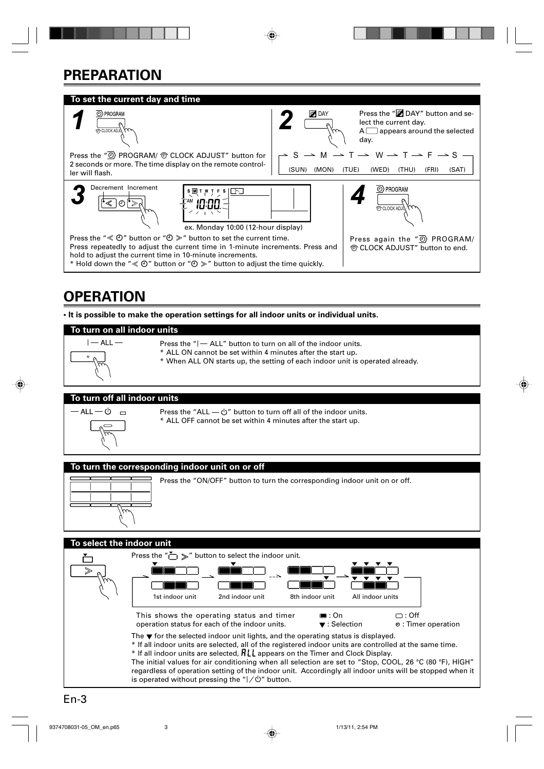# **PREPARATION**



## **OPERATION**

**• It is possible to make the operation settings for all indoor units or individual units.**

#### **To turn on all indoor units**



- Press the  $H ALL$ " button to turn on all of the indoor units.
- \* ALL ON cannot be set within 4 minutes after the start up.
- \* When ALL ON starts up, the setting of each indoor unit is operated already.

#### **To turn off all indoor units**



- Press the "ALL  $\circlearrowright$ " button to turn off all of the indoor units.
- \* ALL OFF cannot be set within 4 minutes after the start up.

#### **To turn the corresponding indoor unit on or off**



Press the "ON/OFF" button to turn the corresponding indoor unit on or off.

#### **To select the indoor unit**

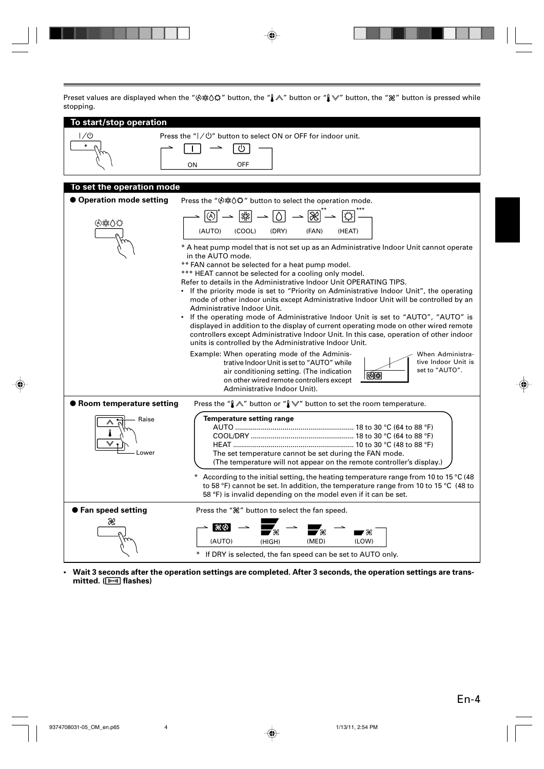Preset values are displayed when the " $\&$   $\&$   $\&$ " button, the " $\&$ " button or " $\&$ " button, the " $\&$ " button is pressed while stopping.

| atopping.                                 |                                                                                                                                                                                                                                                                                                                                                                                                                                                                                                                                                                                                                                                                                                                                                                                                                                                                                                                                                                                                                                                                                                                                                                                                                                                                        |
|-------------------------------------------|------------------------------------------------------------------------------------------------------------------------------------------------------------------------------------------------------------------------------------------------------------------------------------------------------------------------------------------------------------------------------------------------------------------------------------------------------------------------------------------------------------------------------------------------------------------------------------------------------------------------------------------------------------------------------------------------------------------------------------------------------------------------------------------------------------------------------------------------------------------------------------------------------------------------------------------------------------------------------------------------------------------------------------------------------------------------------------------------------------------------------------------------------------------------------------------------------------------------------------------------------------------------|
| To start/stop operation<br>1/0<br>$\circ$ | Press the "  / <b>①</b> " button to select ON or OFF for indoor unit.<br>↻<br>OFF<br>ON                                                                                                                                                                                                                                                                                                                                                                                                                                                                                                                                                                                                                                                                                                                                                                                                                                                                                                                                                                                                                                                                                                                                                                                |
| To set the operation mode                 |                                                                                                                                                                                                                                                                                                                                                                                                                                                                                                                                                                                                                                                                                                                                                                                                                                                                                                                                                                                                                                                                                                                                                                                                                                                                        |
| ● Operation mode setting                  | Press the " <a></a> %% button to select the operation mode.                                                                                                                                                                                                                                                                                                                                                                                                                                                                                                                                                                                                                                                                                                                                                                                                                                                                                                                                                                                                                                                                                                                                                                                                            |
| ④紫〇C                                      | $\boxed{\textcircled{\scriptsize{\textcircled{\tiny \#}}}} \rightarrow \boxed{\textcircled{\scriptsize{\textcircled{\tiny \#}}}} \rightarrow \boxed{\textcircled{\scriptsize{\textcircled{\tiny \#}}}} \rightarrow \boxed{\textcircled{\scriptsize{\textcircled{\tiny \#}}}} \rightarrow \boxed{\textcircled{\scriptsize{\textcircled{\tiny \#}}}} \rightarrow$<br>(COOL)<br>(DRY)<br>(AUTO)<br>(FAN)<br>(HEAT)<br>* A heat pump model that is not set up as an Administrative Indoor Unit cannot operate<br>in the AUTO mode.<br>** FAN cannot be selected for a heat pump model.<br>*** HEAT cannot be selected for a cooling only model.<br>Refer to details in the Administrative Indoor Unit OPERATING TIPS.<br>• If the priority mode is set to "Priority on Administrative Indoor Unit", the operating<br>mode of other indoor units except Administrative Indoor Unit will be controlled by an<br>Administrative Indoor Unit.<br>• If the operating mode of Administrative Indoor Unit is set to "AUTO", "AUTO" is<br>displayed in addition to the display of current operating mode on other wired remote<br>controllers except Administrative Indoor Unit. In this case, operation of other indoor<br>units is controlled by the Administrative Indoor Unit. |
|                                           | Example: When operating mode of the Adminis-<br>When Administra-<br>trative Indoor Unit is set to "AUTO" while<br>tive Indoor Unit is<br>set to "AUTO".<br>air conditioning setting. (The indication<br>00)<br>on other wired remote controllers except<br>Administrative Indoor Unit).                                                                                                                                                                                                                                                                                                                                                                                                                                                                                                                                                                                                                                                                                                                                                                                                                                                                                                                                                                                |
| ● Room temperature setting                | Press the " $\Lambda$ " button or " $\Lambda$ " button to set the room temperature.                                                                                                                                                                                                                                                                                                                                                                                                                                                                                                                                                                                                                                                                                                                                                                                                                                                                                                                                                                                                                                                                                                                                                                                    |
| Raise<br>Lower                            | <b>Temperature setting range</b><br>The set temperature cannot be set during the FAN mode.<br>(The temperature will not appear on the remote controller's display.)                                                                                                                                                                                                                                                                                                                                                                                                                                                                                                                                                                                                                                                                                                                                                                                                                                                                                                                                                                                                                                                                                                    |
|                                           | According to the initial setting, the heating temperature range from 10 to 15 °C (48<br>to 58 °F) cannot be set. In addition, the temperature range from 10 to 15 °C (48 to<br>58 °F) is invalid depending on the model even if it can be set.                                                                                                                                                                                                                                                                                                                                                                                                                                                                                                                                                                                                                                                                                                                                                                                                                                                                                                                                                                                                                         |
| ● Fan speed setting                       | Press the " $\mathcal{X}$ " button to select the fan speed.                                                                                                                                                                                                                                                                                                                                                                                                                                                                                                                                                                                                                                                                                                                                                                                                                                                                                                                                                                                                                                                                                                                                                                                                            |
| Ж                                         | । ୫୪ ବ<br>$\rightarrow \infty$<br>(AUTO)<br>(HIGH)<br>(MED)<br>(LOW)<br>If DRY is selected, the fan speed can be set to AUTO only.                                                                                                                                                                                                                                                                                                                                                                                                                                                                                                                                                                                                                                                                                                                                                                                                                                                                                                                                                                                                                                                                                                                                     |

**• Wait 3 seconds after the operation settings are completed. After 3 seconds, the operation settings are transmitted. ( flashes)**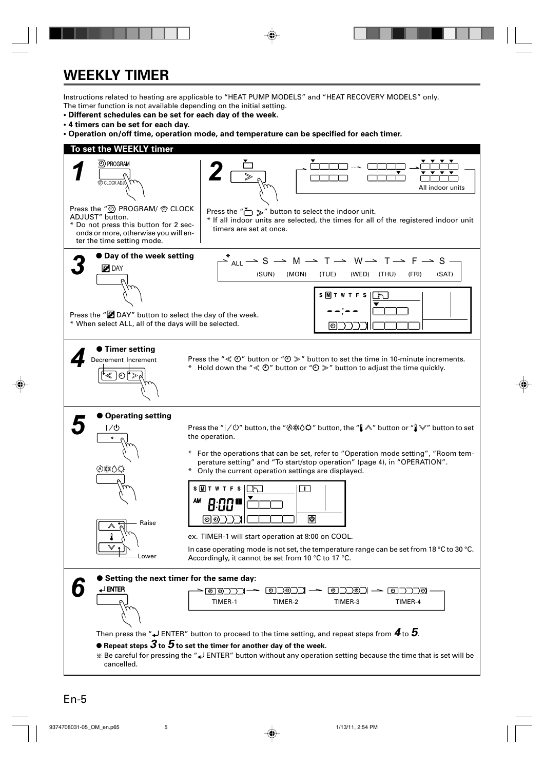## **WEEKLY TIMER**

Instructions related to heating are applicable to "HEAT PUMP MODELS" and "HEAT RECOVERY MODELS" only. The timer function is not available depending on the initial setting.

- **Different schedules can be set for each day of the week.**
- **4 timers can be set for each day.**
- **Operation on/off time, operation mode, and temperature can be specified for each timer.**

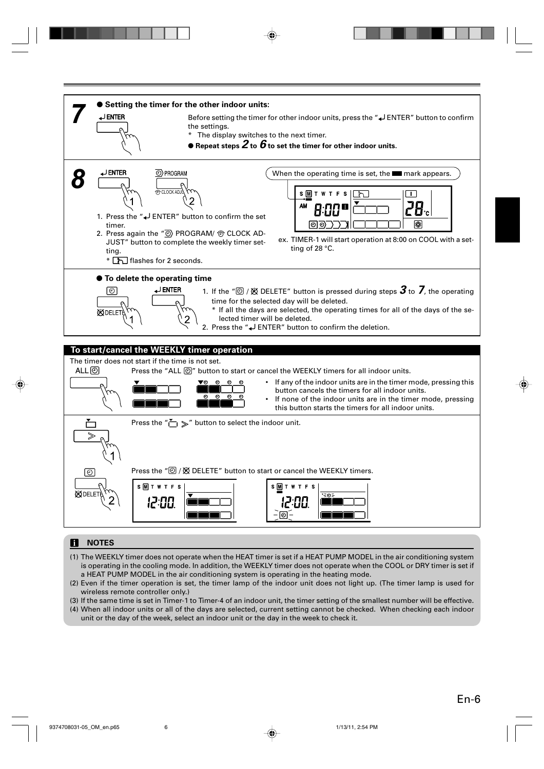

#### **NOTES**

- (1) The WEEKLY timer does not operate when the HEAT timer is set if a HEAT PUMP MODEL in the air conditioning system is operating in the cooling mode. In addition, the WEEKLY timer does not operate when the COOL or DRY timer is set if a HEAT PUMP MODEL in the air conditioning system is operating in the heating mode.
- (2) Even if the timer operation is set, the timer lamp of the indoor unit does not light up. (The timer lamp is used for wireless remote controller only.)
- (3) If the same time is set in Timer-1 to Timer-4 of an indoor unit, the timer setting of the smallest number will be effective. (4) When all indoor units or all of the days are selected, current setting cannot be checked. When checking each indoor unit or the day of the week, select an indoor unit or the day in the week to check it.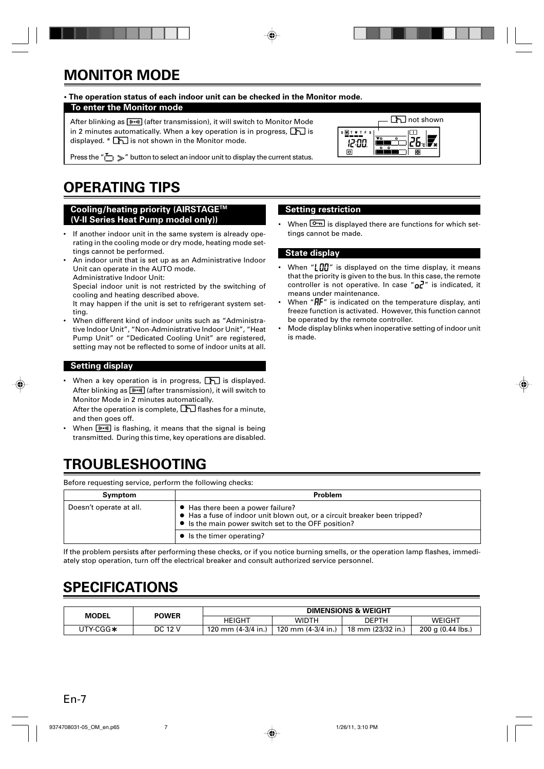# **MONITOR MODE**

#### **• The operation status of each indoor unit can be checked in the Monitor mode.**

#### **To enter the Monitor mode**

After blinking as  $(w_0, w)$  (after transmission), it will switch to Monitor Mode in 2 minutes automatically. When a key operation is in progress,  $\boxed{\uparrow}$  is displayed.  $*$   $\boxed{\uparrow}$  is not shown in the Monitor mode.



Press the " $\sum$ " button to select an indoor unit to display the current status.

# **OPERATING TIPS**

**Cooling/heating priority (AIRSTAGETM (V-II Series Heat Pump model only))**

- If another indoor unit in the same system is already operating in the cooling mode or dry mode, heating mode settings cannot be performed.
- An indoor unit that is set up as an Administrative Indoor Unit can operate in the AUTO mode. Administrative Indoor Unit:

Special indoor unit is not restricted by the switching of cooling and heating described above.

It may happen if the unit is set to refrigerant system setting.

• When different kind of indoor units such as "Administrative Indoor Unit", "Non-Administrative Indoor Unit", "Heat Pump Unit" or "Dedicated Cooling Unit" are registered, setting may not be reflected to some of indoor units at all.

#### **Setting display**

When a key operation is in progress,  $\boxed{\uparrow}$  is displayed. After blinking as  $(m)$  (after transmission), it will switch to Monitor Mode in 2 minutes automatically.

After the operation is complete,  $\boxed{1}$  flashes for a minute, and then goes off.

When  $\boxed{\text{(\textbf{m})}}$  is flashing, it means that the signal is being transmitted. During this time, key operations are disabled.

#### **Setting restriction**

When  $\boxed{0}$  is displayed there are functions for which settings cannot be made.

#### **State display**

- When " $\lfloor \frac{n}{2} \rfloor$ " is displayed on the time display, it means that the priority is given to the bus. In this case, the remote controller is not operative. In case " $a^2$ " is indicated, it means under maintenance.
- When  $H F''$  is indicated on the temperature display, anti freeze function is activated. However, this function cannot be operated by the remote controller.
- Mode display blinks when inoperative setting of indoor unit is made.

### **TROUBLESHOOTING**

Before requesting service, perform the following checks:

| Symptom                 | Problem                                                                                                                                                               |  |  |  |
|-------------------------|-----------------------------------------------------------------------------------------------------------------------------------------------------------------------|--|--|--|
| Doesn't operate at all. | • Has there been a power failure?<br>• Has a fuse of indoor unit blown out, or a circuit breaker been tripped?<br>• Is the main power switch set to the OFF position? |  |  |  |
|                         | • Is the timer operating?                                                                                                                                             |  |  |  |

If the problem persists after performing these checks, or if you notice burning smells, or the operation lamp flashes, immediately stop operation, turn off the electrical breaker and consult authorized service personnel.

### **SPECIFICATIONS**

| <b>POWER</b><br>MODEL |         | <b>DIMENSIONS &amp; WEIGHT</b> |                    |                   |                   |
|-----------------------|---------|--------------------------------|--------------------|-------------------|-------------------|
|                       |         | HEIGHT                         | WIDTH              | DEPTH             | WEIGHT            |
| UTY-CGG∗              | DC 12 V | 120 mm $(4-3/4)$ in.)          | 120 mm (4-3/4 in.) | 18 mm (23/32 in.) | 200 g (0.44 lbs.) |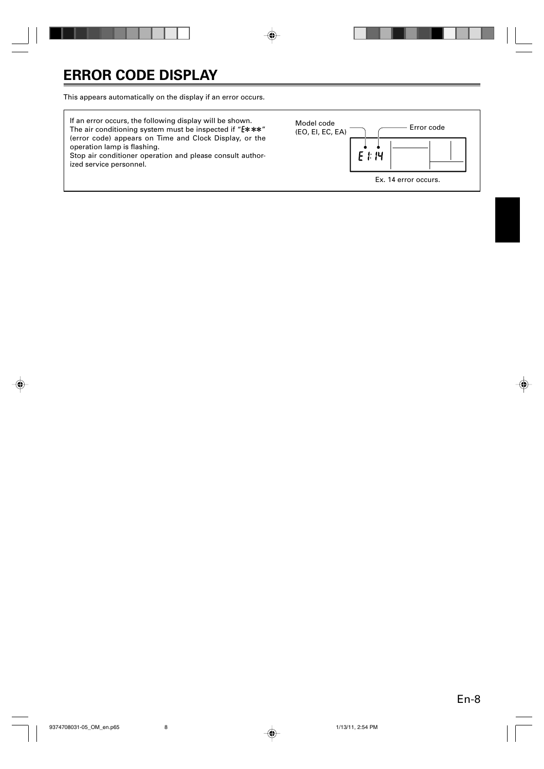This appears automatically on the display if an error occurs.

If an error occurs, the following display will be shown. The air conditioning system must be inspected if " $E***$ " (error code) appears on Time and Clock Display, or the operation lamp is flashing.

Stop air conditioner operation and please consult authorized service personnel.